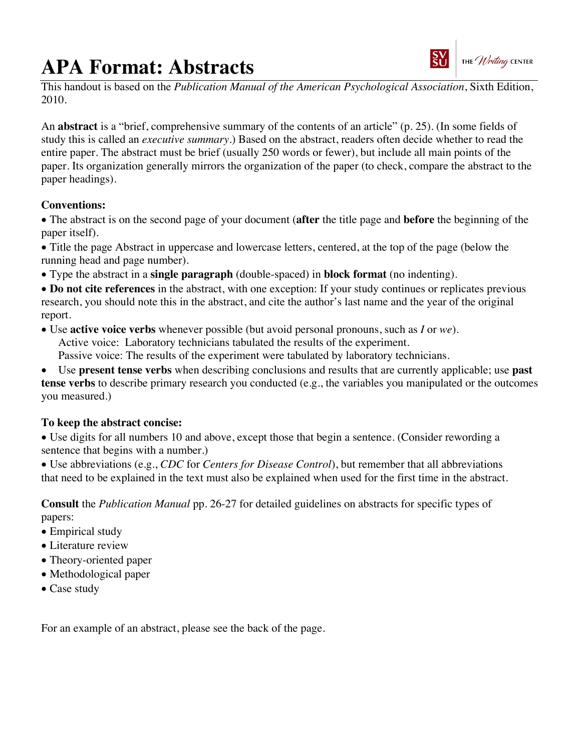# **APA Format: Abstracts**



This handout is based on the *Publication Manual of the American Psychological Association*, Sixth Edition, 2010.

An **abstract** is a "brief, comprehensive summary of the contents of an article" (p. 25). (In some fields of study this is called an *executive summary*.) Based on the abstract, readers often decide whether to read the entire paper. The abstract must be brief (usually 250 words or fewer), but include all main points of the paper. Its organization generally mirrors the organization of the paper (to check, compare the abstract to the paper headings).

## **Conventions:**

• The abstract is on the second page of your document (**after** the title page and **before** the beginning of the paper itself).

• Title the page Abstract in uppercase and lowercase letters, centered, at the top of the page (below the running head and page number).

• Type the abstract in a **single paragraph** (double-spaced) in **block format** (no indenting).

• **Do not cite references** in the abstract, with one exception: If your study continues or replicates previous research, you should note this in the abstract, and cite the author's last name and the year of the original report.

- Use **active voice verbs** whenever possible (but avoid personal pronouns, such as *I* or *we*). Active voice: Laboratory technicians tabulated the results of the experiment. Passive voice: The results of the experiment were tabulated by laboratory technicians.
- Use **present tense verbs** when describing conclusions and results that are currently applicable; use **past**

**tense verbs** to describe primary research you conducted (e.g., the variables you manipulated or the outcomes you measured.)

## **To keep the abstract concise:**

• Use digits for all numbers 10 and above, except those that begin a sentence. (Consider rewording a sentence that begins with a number.)

• Use abbreviations (e.g., *CDC* for *Centers for Disease Control*), but remember that all abbreviations that need to be explained in the text must also be explained when used for the first time in the abstract.

**Consult** the *Publication Manual* pp. 26-27 for detailed guidelines on abstracts for specific types of papers:

- Empirical study
- Literature review
- Theory-oriented paper
- Methodological paper
- Case study

For an example of an abstract, please see the back of the page.